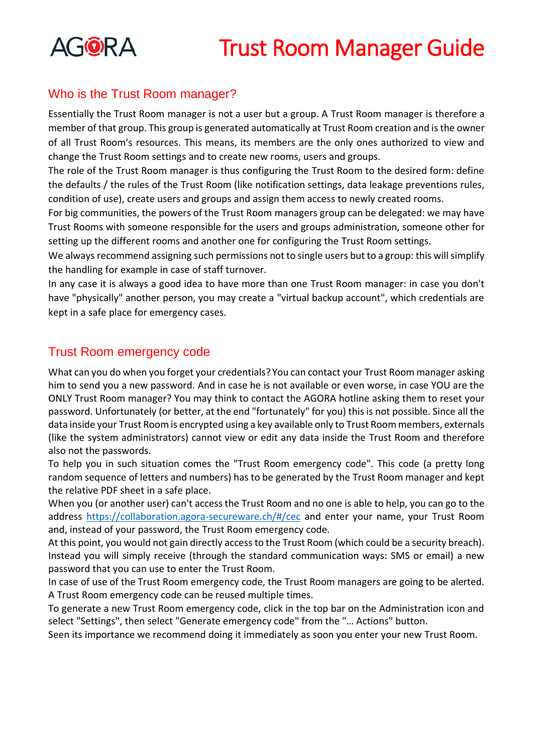

## Who is the Trust Room manager?

Essentially the Trust Room manager is not a user but a group. A Trust Room manager is therefore a member of that group. This group is generated automatically at Trust Room creation and is the owner of all Trust Room's resources. This means, its members are the only ones authorized to view and change the Trust Room settings and to create new rooms, users and groups.

The role of the Trust Room manager is thus configuring the Trust Room to the desired form: define the defaults / the rules of the Trust Room (like notification settings, data leakage preventions rules, condition of use), create users and groups and assign them access to newly created rooms.

For big communities, the powers of the Trust Room managers group can be delegated: we may have Trust Rooms with someone responsible for the users and groups administration, someone other for setting up the different rooms and another one for configuring the Trust Room settings.

We always recommend assigning such permissions not to single users but to a group: this will simplify the handling for example in case of staff turnover.

In any case it is always a good idea to have more than one Trust Room manager: in case you don't have "physically" another person, you may create a "virtual backup account", which credentials are kept in a safe place for emergency cases.

## Trust Room emergency code

What can you do when you forget your credentials? You can contact your Trust Room manager asking him to send you a new password. And in case he is not available or even worse, in case YOU are the ONLY Trust Room manager? You may think to contact the AGORA hotline asking them to reset your password. Unfortunately (or better, at the end "fortunately" for you) this is not possible. Since all the data inside your Trust Room is encrypted using a key available only to Trust Room members, externals (like the system administrators) cannot view or edit any data inside the Trust Room and therefore also not the passwords.

To help you in such situation comes the "Trust Room emergency code". This code (a pretty long random sequence of letters and numbers) has to be generated by the Trust Room manager and kept the relative PDF sheet in a safe place.

When you (or another user) can't access the Trust Room and no one is able to help, you can go to the address<https://collaboration.agora-secureware.ch/#/cec> and enter your name, your Trust Room and, instead of your password, the Trust Room emergency code.

At this point, you would not gain directly access to the Trust Room (which could be a security breach). Instead you will simply receive (through the standard communication ways: SMS or email) a new password that you can use to enter the Trust Room.

In case of use of the Trust Room emergency code, the Trust Room managers are going to be alerted. A Trust Room emergency code can be reused multiple times.

To generate a new Trust Room emergency code, click in the top bar on the Administration icon and select "Settings", then select "Generate emergency code" from the "… Actions" button.

Seen its importance we recommend doing it immediately as soon you enter your new Trust Room.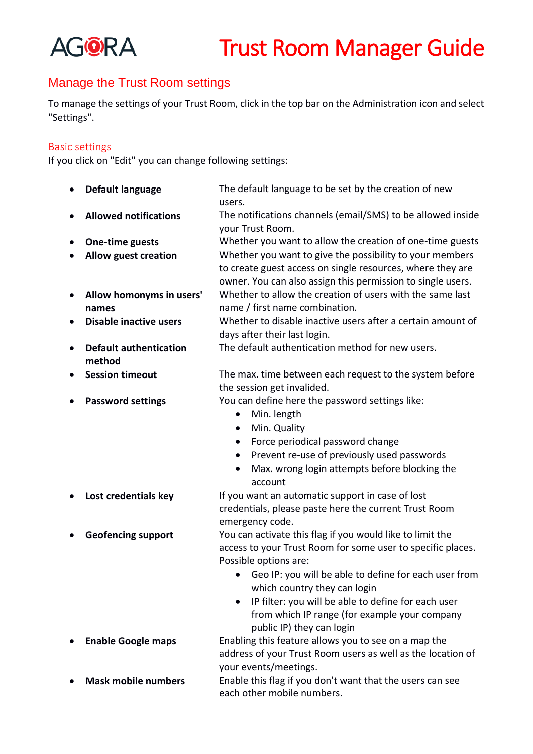

## Manage the Trust Room settings

To manage the settings of your Trust Room, click in the top bar on the Administration icon and select "Settings".

#### Basic settings

If you click on "Edit" you can change following settings:

|           | Default language                        | The default language to be set by the creation of new<br>users.                                                                                                                       |
|-----------|-----------------------------------------|---------------------------------------------------------------------------------------------------------------------------------------------------------------------------------------|
|           | <b>Allowed notifications</b>            | The notifications channels (email/SMS) to be allowed inside<br>your Trust Room.                                                                                                       |
|           | One-time guests                         | Whether you want to allow the creation of one-time guests                                                                                                                             |
|           | <b>Allow guest creation</b>             | Whether you want to give the possibility to your members<br>to create guest access on single resources, where they are<br>owner. You can also assign this permission to single users. |
| $\bullet$ | Allow homonyms in users'                | Whether to allow the creation of users with the same last                                                                                                                             |
|           | names                                   | name / first name combination.                                                                                                                                                        |
| ٠         | <b>Disable inactive users</b>           | Whether to disable inactive users after a certain amount of<br>days after their last login.                                                                                           |
|           | <b>Default authentication</b><br>method | The default authentication method for new users.                                                                                                                                      |
|           | <b>Session timeout</b>                  | The max. time between each request to the system before<br>the session get invalided.                                                                                                 |
|           | <b>Password settings</b>                | You can define here the password settings like:                                                                                                                                       |
|           |                                         | Min. length<br>$\bullet$                                                                                                                                                              |
|           |                                         | Min. Quality<br>$\bullet$                                                                                                                                                             |
|           |                                         | Force periodical password change<br>$\bullet$                                                                                                                                         |
|           |                                         | Prevent re-use of previously used passwords                                                                                                                                           |
|           |                                         | Max. wrong login attempts before blocking the                                                                                                                                         |
|           |                                         | account                                                                                                                                                                               |
|           | Lost credentials key                    | If you want an automatic support in case of lost                                                                                                                                      |
|           |                                         | credentials, please paste here the current Trust Room                                                                                                                                 |
|           |                                         | emergency code.                                                                                                                                                                       |
|           | <b>Geofencing support</b>               | You can activate this flag if you would like to limit the                                                                                                                             |
|           |                                         | access to your Trust Room for some user to specific places.                                                                                                                           |
|           |                                         | Possible options are:                                                                                                                                                                 |
|           |                                         | Geo IP: you will be able to define for each user from<br>which country they can login                                                                                                 |
|           |                                         | IP filter: you will be able to define for each user<br>$\bullet$                                                                                                                      |
|           |                                         | from which IP range (for example your company                                                                                                                                         |
|           |                                         | public IP) they can login                                                                                                                                                             |
|           | <b>Enable Google maps</b>               | Enabling this feature allows you to see on a map the                                                                                                                                  |
|           |                                         | address of your Trust Room users as well as the location of                                                                                                                           |
|           |                                         | your events/meetings.                                                                                                                                                                 |
|           | <b>Mask mobile numbers</b>              | Enable this flag if you don't want that the users can see                                                                                                                             |
|           |                                         | each other mobile numbers.                                                                                                                                                            |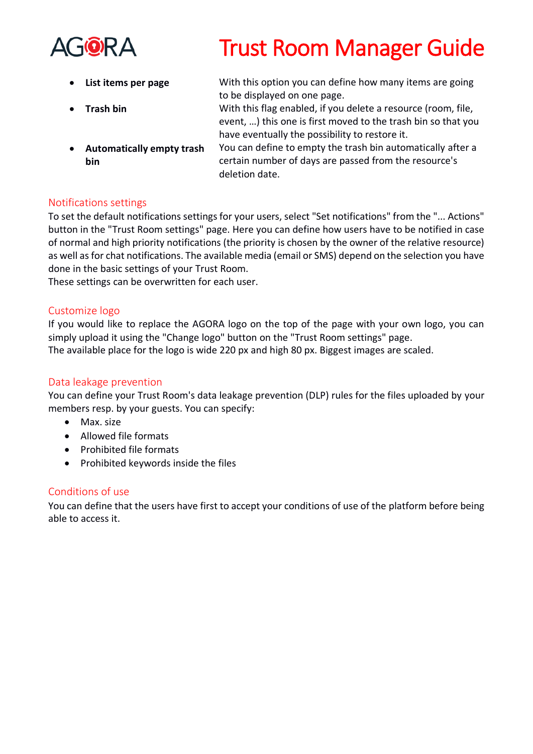

- 
- 
- **Automatically empty trash bin**
- **List items per page** With this option you can define how many items are going to be displayed on one page.
- **Trash bin** With this flag enabled, if you delete a resource (room, file, event, …) this one is first moved to the trash bin so that you have eventually the possibility to restore it.
	- You can define to empty the trash bin automatically after a certain number of days are passed from the resource's deletion date.

### Notifications settings

To set the default notifications settings for your users, select "Set notifications" from the "... Actions" button in the "Trust Room settings" page. Here you can define how users have to be notified in case of normal and high priority notifications (the priority is chosen by the owner of the relative resource) as well as for chat notifications. The available media (email or SMS) depend on the selection you have done in the basic settings of your Trust Room.

These settings can be overwritten for each user.

### Customize logo

If you would like to replace the AGORA logo on the top of the page with your own logo, you can simply upload it using the "Change logo" button on the "Trust Room settings" page. The available place for the logo is wide 220 px and high 80 px. Biggest images are scaled.

### Data leakage prevention

You can define your Trust Room's data leakage prevention (DLP) rules for the files uploaded by your members resp. by your guests. You can specify:

- Max. size
- Allowed file formats
- Prohibited file formats
- Prohibited keywords inside the files

### Conditions of use

You can define that the users have first to accept your conditions of use of the platform before being able to access it.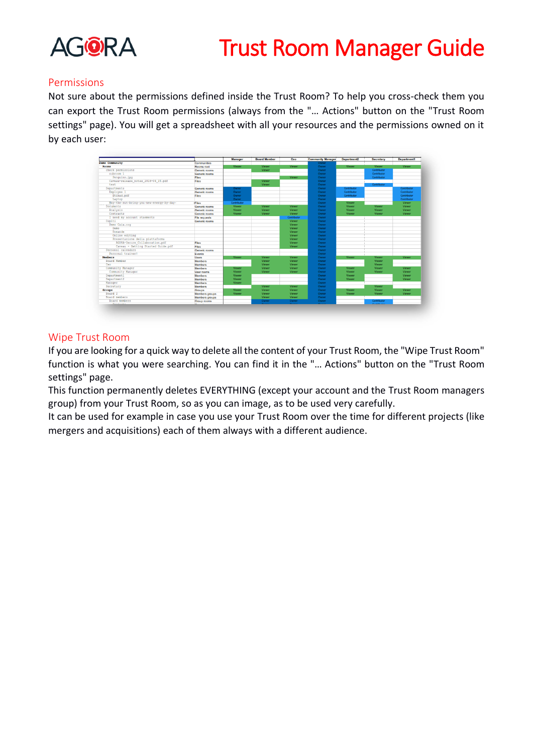

#### Permissions

Not sure about the permissions defined inside the Trust Room? To help you cross-check them you can export the Trust Room permissions (always from the "… Actions" button on the "Trust Room settings" page). You will get a spreadsheet with all your resources and the permissions owned on it by each user:



#### Wipe Trust Room

If you are looking for a quick way to delete all the content of your Trust Room, the "Wipe Trust Room" function is what you were searching. You can find it in the "… Actions" button on the "Trust Room settings" page.

This function permanently deletes EVERYTHING (except your account and the Trust Room managers group) from your Trust Room, so as you can image, as to be used very carefully.

It can be used for example in case you use your Trust Room over the time for different projects (like mergers and acquisitions) each of them always with a different audience.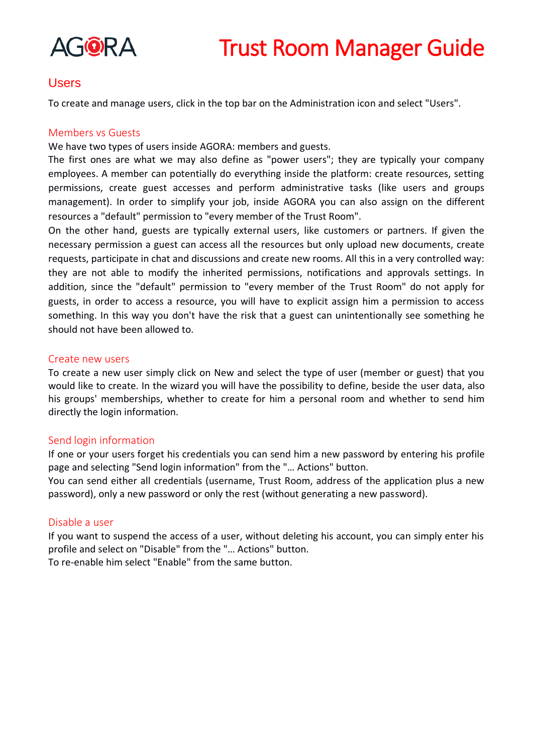

### Users

To create and manage users, click in the top bar on the Administration icon and select "Users".

#### Members vs Guests

We have two types of users inside AGORA: members and guests.

The first ones are what we may also define as "power users"; they are typically your company employees. A member can potentially do everything inside the platform: create resources, setting permissions, create guest accesses and perform administrative tasks (like users and groups management). In order to simplify your job, inside AGORA you can also assign on the different resources a "default" permission to "every member of the Trust Room".

On the other hand, guests are typically external users, like customers or partners. If given the necessary permission a guest can access all the resources but only upload new documents, create requests, participate in chat and discussions and create new rooms. All this in a very controlled way: they are not able to modify the inherited permissions, notifications and approvals settings. In addition, since the "default" permission to "every member of the Trust Room" do not apply for guests, in order to access a resource, you will have to explicit assign him a permission to access something. In this way you don't have the risk that a guest can unintentionally see something he should not have been allowed to.

#### Create new users

To create a new user simply click on New and select the type of user (member or guest) that you would like to create. In the wizard you will have the possibility to define, beside the user data, also his groups' memberships, whether to create for him a personal room and whether to send him directly the login information.

#### Send login information

If one or your users forget his credentials you can send him a new password by entering his profile page and selecting "Send login information" from the "… Actions" button.

You can send either all credentials (username, Trust Room, address of the application plus a new password), only a new password or only the rest (without generating a new password).

#### Disable a user

If you want to suspend the access of a user, without deleting his account, you can simply enter his profile and select on "Disable" from the "… Actions" button. To re-enable him select "Enable" from the same button.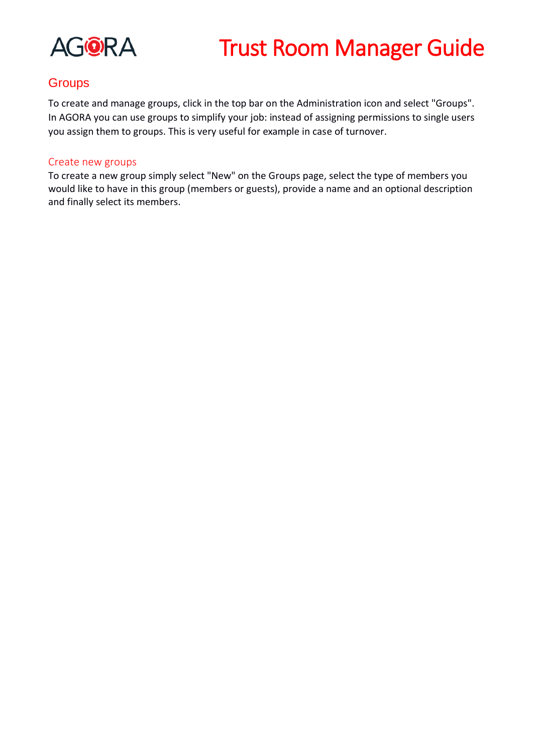

## **Groups**

To create and manage groups, click in the top bar on the Administration icon and select "Groups". In AGORA you can use groups to simplify your job: instead of assigning permissions to single users you assign them to groups. This is very useful for example in case of turnover.

### Create new groups

To create a new group simply select "New" on the Groups page, select the type of members you would like to have in this group (members or guests), provide a name and an optional description and finally select its members.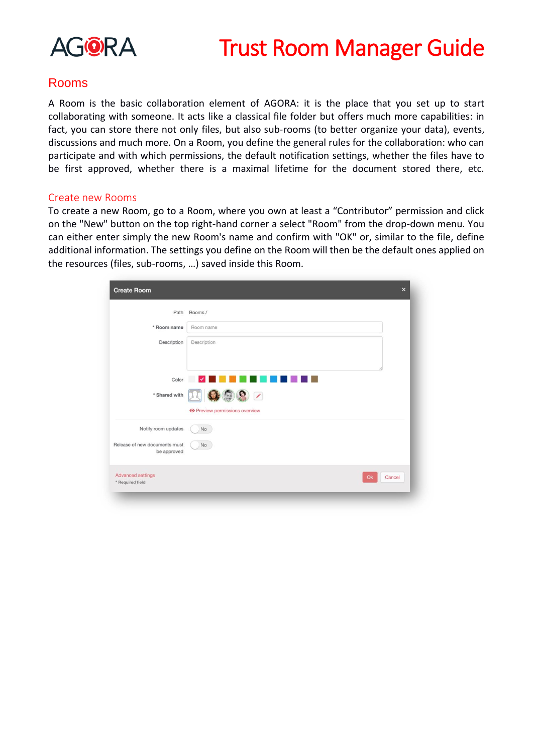

### Rooms

A Room is the basic collaboration element of AGORA: it is the place that you set up to start collaborating with someone. It acts like a classical file folder but offers much more capabilities: in fact, you can store there not only files, but also sub-rooms (to better organize your data), events, discussions and much more. On a Room, you define the general rules for the collaboration: who can participate and with which permissions, the default notification settings, whether the files have to be first approved, whether there is a maximal lifetime for the document stored there, etc.

#### Create new Rooms

To create a new Room, go to a Room, where you own at least a "Contributor" permission and click on the "New" button on the top right-hand corner a select "Room" from the drop-down menu. You can either enter simply the new Room's name and confirm with "OK" or, similar to the file, define additional information. The settings you define on the Room will then be the default ones applied on the resources (files, sub-rooms, …) saved inside this Room.

| <b>Create Room</b>                           | $\times$                                                                  |
|----------------------------------------------|---------------------------------------------------------------------------|
| Path                                         | Rooms /                                                                   |
| * Room name                                  | Room name                                                                 |
| Description                                  | Description                                                               |
|                                              | Color V                                                                   |
| * Shared with                                | $\Sigma$ $\odot$ $\odot$ $\odot$<br><b>O</b> Preview permissions overview |
| Notify room updates                          | <b>No</b>                                                                 |
| Release of new documents must<br>be approved | No                                                                        |
| <b>Advanced settings</b><br>* Required field | Cancel<br>Ok                                                              |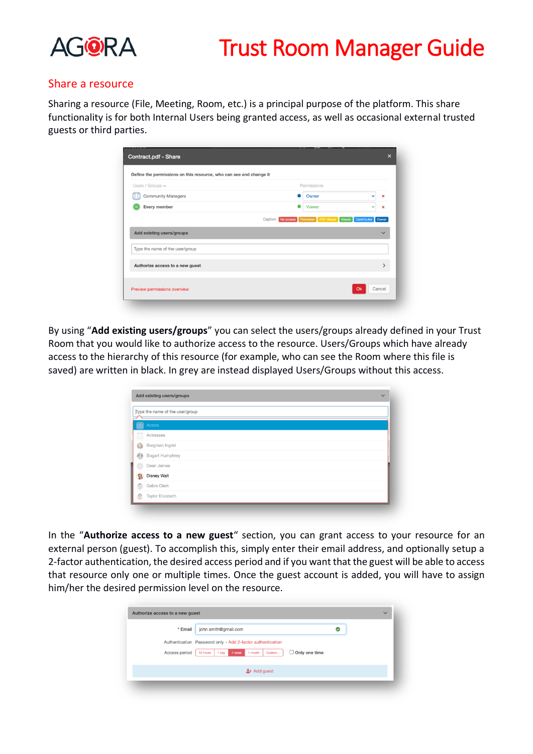

#### Share a resource

Sharing a resource (File, Meeting, Room, etc.) is a principal purpose of the platform. This share functionality is for both Internal Users being granted access, as well as occasional external trusted guests or third parties.

| Permissions<br>Users / Groups A                              |               |              |
|--------------------------------------------------------------|---------------|--------------|
| <b>Community Managers</b>                                    | Owner         | Ÿ<br>×       |
| Every member                                                 | <b>Viewer</b> | v<br>×       |
|                                                              |               | $\checkmark$ |
| Add existing users/groups<br>Type the name of the user/group |               |              |

By using "**Add existing users/groups**" you can select the users/groups already defined in your Trust Room that you would like to authorize access to the resource. Users/Groups which have already access to the hierarchy of this resource (for example, who can see the Room where this file is saved) are written in black. In grey are instead displayed Users/Groups without this access.

| Type the name of the user/group |                    |  |  |  |  |
|---------------------------------|--------------------|--|--|--|--|
|                                 | Actors             |  |  |  |  |
| D.                              | Actresses          |  |  |  |  |
| C)                              | Bergman Ingrid     |  |  |  |  |
| 图                               | Bogart Humphrey    |  |  |  |  |
|                                 | Dean James         |  |  |  |  |
| 9,                              | <b>Disney Walt</b> |  |  |  |  |
| 9                               | Gable Clark        |  |  |  |  |
| Ø                               | Taylor Elizabeth   |  |  |  |  |

In the "**Authorize access to a new guest**" section, you can grant access to your resource for an external person (guest). To accomplish this, simply enter their email address, and optionally setup a 2-factor authentication, the desired access period and if you want that the guest will be able to access that resource only one or multiple times. Once the guest account is added, you will have to assign him/her the desired permission level on the resource.

| * Email       | john.smith@gmail.com                                                     | ల |  |
|---------------|--------------------------------------------------------------------------|---|--|
|               | Authentication Password only - Add 2-factor authentication               |   |  |
| Access period | $\Box$ Only one time<br>1 week<br>Custom<br>1 month<br>12 hours<br>1 day |   |  |
|               | $2 +$ Add guest                                                          |   |  |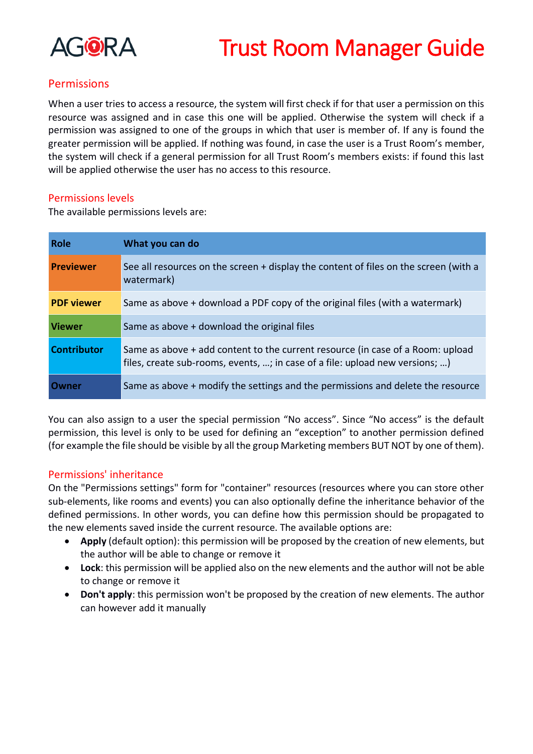

### **Permissions**

When a user tries to access a resource, the system will first check if for that user a permission on this resource was assigned and in case this one will be applied. Otherwise the system will check if a permission was assigned to one of the groups in which that user is member of. If any is found the greater permission will be applied. If nothing was found, in case the user is a Trust Room's member, the system will check if a general permission for all Trust Room's members exists: if found this last will be applied otherwise the user has no access to this resource.

#### Permissions levels

The available permissions levels are:

| <b>Role</b>        | What you can do                                                                                                                                                |
|--------------------|----------------------------------------------------------------------------------------------------------------------------------------------------------------|
| <b>Previewer</b>   | See all resources on the screen + display the content of files on the screen (with a<br>watermark)                                                             |
| <b>PDF</b> viewer  | Same as above + download a PDF copy of the original files (with a watermark)                                                                                   |
| <b>Viewer</b>      | Same as above + download the original files                                                                                                                    |
| <b>Contributor</b> | Same as above + add content to the current resource (in case of a Room: upload<br>files, create sub-rooms, events, ; in case of a file: upload new versions; ) |
| Owner              | Same as above + modify the settings and the permissions and delete the resource                                                                                |

You can also assign to a user the special permission "No access". Since "No access" is the default permission, this level is only to be used for defining an "exception" to another permission defined (for example the file should be visible by all the group Marketing members BUT NOT by one of them).

### Permissions' inheritance

On the "Permissions settings" form for "container" resources (resources where you can store other sub-elements, like rooms and events) you can also optionally define the inheritance behavior of the defined permissions. In other words, you can define how this permission should be propagated to the new elements saved inside the current resource. The available options are:

- **Apply** (default option): this permission will be proposed by the creation of new elements, but the author will be able to change or remove it
- **Lock**: this permission will be applied also on the new elements and the author will not be able to change or remove it
- **Don't apply**: this permission won't be proposed by the creation of new elements. The author can however add it manually